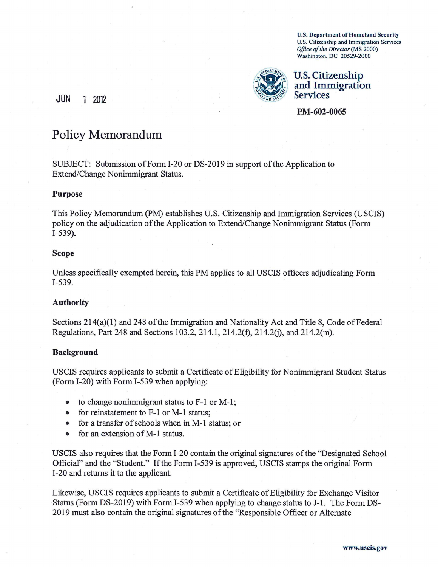**U.S. Department of Homeland Security** U.S. Citizenship and Immigration Services *Office of the Director* (MS 2000) Washington, DC 20529-2000



U.S. Citizenship and Immigration Services

PM -602-0065

# Policy Memorandum

SUBJECT: Submission of Form I-20 or DS-2019 in support of the Application to Extend/Change Nonimmigrant Status.

## Purpose

JUN 1 2012

This Policy Memorandum (PM) establishes U.S. Citizenship and Immigration Services (USCIS) policy on the adjudication of the Application to Extend/Change Nonimmigrant Status (Form I-539).

## Scope

Unless specifically exempted herein, this PM applies to all USCIS officers adjudicating Form I-539.

## Authority

Sections  $214(a)(1)$  and  $248$  of the Immigration and Nationality Act and Title 8, Code of Federal Regulations, Part 248 and Sections 103.2, 214.1, 214.2(f), 214.2(j), and 214.2(m).

#### Background

USCIS requires applicants to submit a Certificate ofEligibility for Nonimmigrant Student Status (Form I-20) with Form I-539 when applying:

- to change nonimmigrant status to F-1 or M-1;
- for reinstatement to F-1 or M-1 status;
- for a transfer of schools when in M-1 status; or
- for an extension of M-1 status.

USCIS also requires that the Form I-20 contain the original signatures of the "Designated School Official" and the "Student." Ifthe Form I-539 is approved, USCIS stamps the original Form I-20 and returns it to the applicant.

Likewise, USCIS requires applicants to submit a Certificate of Eligibility for Exchange Visitor Status (Form DS-2019) with Form I-539 when applying to change status to J-1. The Form DS-20 19 must also contain the original signatures of the "Responsible Officer or Alternate